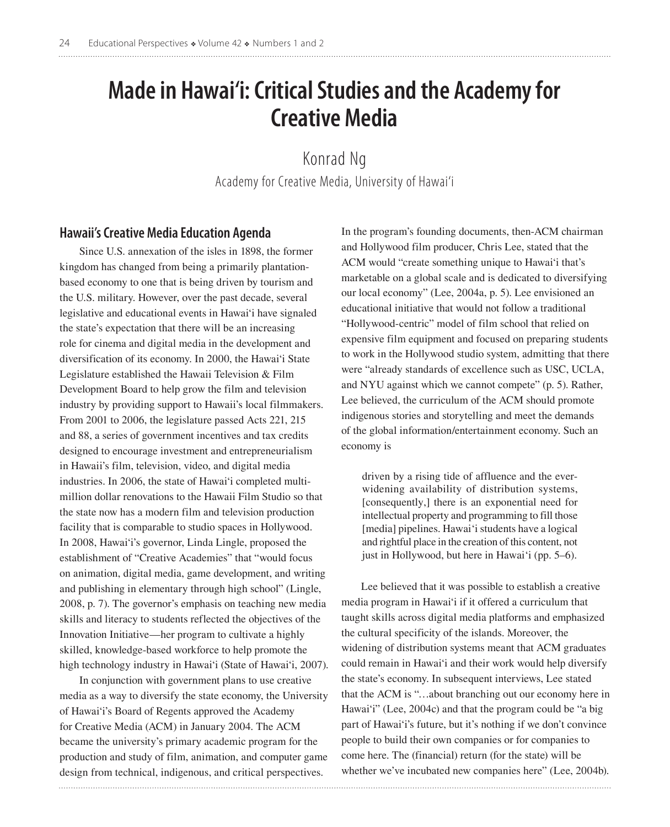# **Made in Hawai'i: Critical Studies and the Academy for Creative Media**

Konrad Ng Academy for Creative Media, University of Hawai'i

## **Hawaii's Creative Media Education Agenda**

Since U.S. annexation of the isles in 1898, the former kingdom has changed from being a primarily plantationbased economy to one that is being driven by tourism and the U.S. military. However, over the past decade, several legislative and educational events in Hawai'i have signaled the state's expectation that there will be an increasing role for cinema and digital media in the development and diversification of its economy. In 2000, the Hawai'i State Legislature established the Hawaii Television & Film Development Board to help grow the film and television industry by providing support to Hawaii's local filmmakers. From 2001 to 2006, the legislature passed Acts 221, 215 and 88, a series of government incentives and tax credits designed to encourage investment and entrepreneurialism in Hawaii's film, television, video, and digital media industries. In 2006, the state of Hawai'i completed multimillion dollar renovations to the Hawaii Film Studio so that the state now has a modern film and television production facility that is comparable to studio spaces in Hollywood. In 2008, Hawai'i's governor, Linda Lingle, proposed the establishment of "Creative Academies" that "would focus on animation, digital media, game development, and writing and publishing in elementary through high school" (Lingle, 2008, p. 7). The governor's emphasis on teaching new media skills and literacy to students reflected the objectives of the Innovation Initiative—her program to cultivate a highly skilled, knowledge-based workforce to help promote the high technology industry in Hawai'i (State of Hawai'i, 2007).

In conjunction with government plans to use creative media as a way to diversify the state economy, the University of Hawai'i's Board of Regents approved the Academy for Creative Media (ACM) in January 2004. The ACM became the university's primary academic program for the production and study of film, animation, and computer game design from technical, indigenous, and critical perspectives.

In the program's founding documents, then-ACM chairman and Hollywood film producer, Chris Lee, stated that the ACM would "create something unique to Hawai'i that's marketable on a global scale and is dedicated to diversifying our local economy" (Lee, 2004a, p. 5). Lee envisioned an educational initiative that would not follow a traditional "Hollywood-centric" model of film school that relied on expensive film equipment and focused on preparing students to work in the Hollywood studio system, admitting that there were "already standards of excellence such as USC, UCLA, and NYU against which we cannot compete" (p. 5). Rather, Lee believed, the curriculum of the ACM should promote indigenous stories and storytelling and meet the demands of the global information/entertainment economy. Such an economy is

driven by a rising tide of affluence and the everwidening availability of distribution systems, [consequently,] there is an exponential need for intellectual property and programming to fill those [media] pipelines. Hawai'i students have a logical and rightful place in the creation of this content, not just in Hollywood, but here in Hawai'i (pp. 5–6).

Lee believed that it was possible to establish a creative media program in Hawai'i if it offered a curriculum that taught skills across digital media platforms and emphasized the cultural specificity of the islands. Moreover, the widening of distribution systems meant that ACM graduates could remain in Hawai'i and their work would help diversify the state's economy. In subsequent interviews, Lee stated that the ACM is "…about branching out our economy here in Hawai'i" (Lee, 2004c) and that the program could be "a big part of Hawai'i's future, but it's nothing if we don't convince people to build their own companies or for companies to come here. The (financial) return (for the state) will be whether we've incubated new companies here" (Lee, 2004b).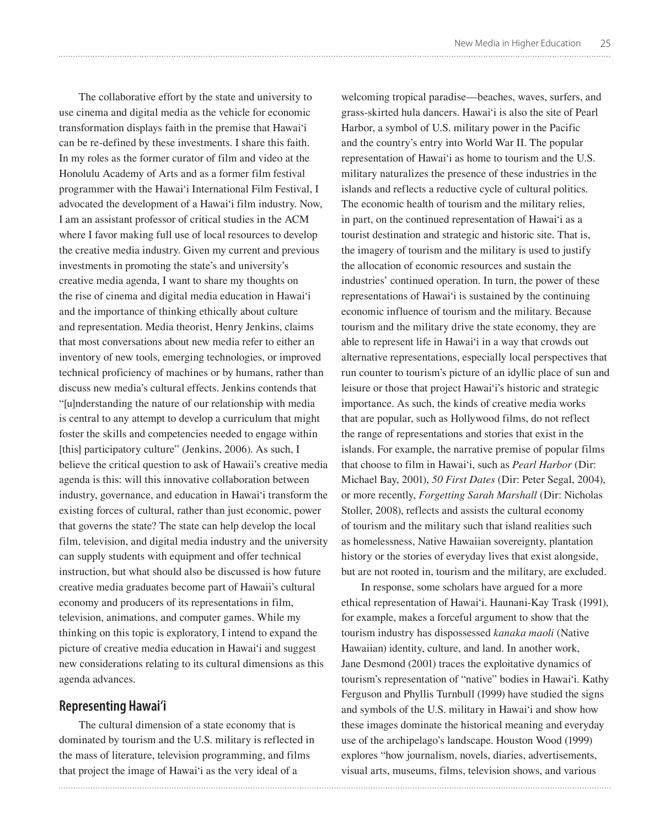The collaborative effort by the state and university to use cinema and digital media as the vehicle for economic transformation displays faith in the premise that Hawai'i can be re-defined by these investments. I share this faith. In my roles as the former curator of film and video at the Honolulu Academy of Arts and as a former film festival programmer with the Hawai'i International Film Festival, I advocated the development of a Hawai'i film industry. Now, I am an assistant professor of critical studies in the ACM where I favor making full use of local resources to develop the creative media industry. Given my current and previous investments in promoting the state's and university's creative media agenda, I want to share my thoughts on the rise of cinema and digital media education in Hawai'i and the importance of thinking ethically about culture and representation. Media theorist, Henry Jenkins, claims that most conversations about new media refer to either an inventory of new tools, emerging technologies, or improved technical proficiency of machines or by humans, rather than discuss new media's cultural effects. Jenkins contends that "[u]nderstanding the nature of our relationship with media is central to any attempt to develop a curriculum that might foster the skills and competencies needed to engage within [this] participatory culture" (Jenkins, 2006). As such, I believe the critical question to ask of Hawaii's creative media agenda is this: will this innovative collaboration between industry, governance, and education in Hawai'i transform the existing forces of cultural, rather than just economic, power that governs the state? The state can help develop the local film, television, and digital media industry and the university can supply students with equipment and offer technical instruction, but what should also be discussed is how future creative media graduates become part of Hawaii's cultural economy and producers of its representations in film, television, animations, and computer games. While my thinking on this topic is exploratory, I intend to expand the picture of creative media education in Hawai'i and suggest new considerations relating to its cultural dimensions as this agenda advances.

## **Representing Hawai'i**

The cultural dimension of a state economy that is dominated by tourism and the U.S. military is reflected in the mass of literature, television programming, and films that project the image of Hawai'i as the very ideal of a

welcoming tropical paradise—beaches, waves, surfers, and grass-skirted hula dancers. Hawai'i is also the site of Pearl Harbor, a symbol of U.S. military power in the Pacific and the country's entry into World War II. The popular representation of Hawai'i as home to tourism and the U.S. military naturalizes the presence of these industries in the islands and reflects a reductive cycle of cultural politics. The economic health of tourism and the military relies, in part, on the continued representation of Hawai'i as a tourist destination and strategic and historic site. That is, the imagery of tourism and the military is used to justify the allocation of economic resources and sustain the industries' continued operation. In turn, the power of these representations of Hawai'i is sustained by the continuing economic influence of tourism and the military. Because tourism and the military drive the state economy, they are able to represent life in Hawai'i in a way that crowds out alternative representations, especially local perspectives that run counter to tourism's picture of an idyllic place of sun and leisure or those that project Hawai'i's historic and strategic importance. As such, the kinds of creative media works that are popular, such as Hollywood films, do not reflect the range of representations and stories that exist in the islands. For example, the narrative premise of popular films that choose to film in Hawai'i, such as *Pearl Harbor* (Dir: Michael Bay, 2001), *50 First Dates* (Dir: Peter Segal, 2004), or more recently, *Forgetting Sarah Marshall* (Dir: Nicholas Stoller, 2008), reflects and assists the cultural economy of tourism and the military such that island realities such as homelessness, Native Hawaiian sovereignty, plantation history or the stories of everyday lives that exist alongside, but are not rooted in, tourism and the military, are excluded.

In response, some scholars have argued for a more ethical representation of Hawai'i. Haunani-Kay Trask (1991), for example, makes a forceful argument to show that the tourism industry has dispossessed *kanaka maoli* (Native Hawaiian) identity, culture, and land. In another work, Jane Desmond (2001) traces the exploitative dynamics of tourism's representation of "native" bodies in Hawai'i. Kathy Ferguson and Phyllis Turnbull (1999) have studied the signs and symbols of the U.S. military in Hawai'i and show how these images dominate the historical meaning and everyday use of the archipelago's landscape. Houston Wood (1999) explores "how journalism, novels, diaries, advertisements, visual arts, museums, films, television shows, and various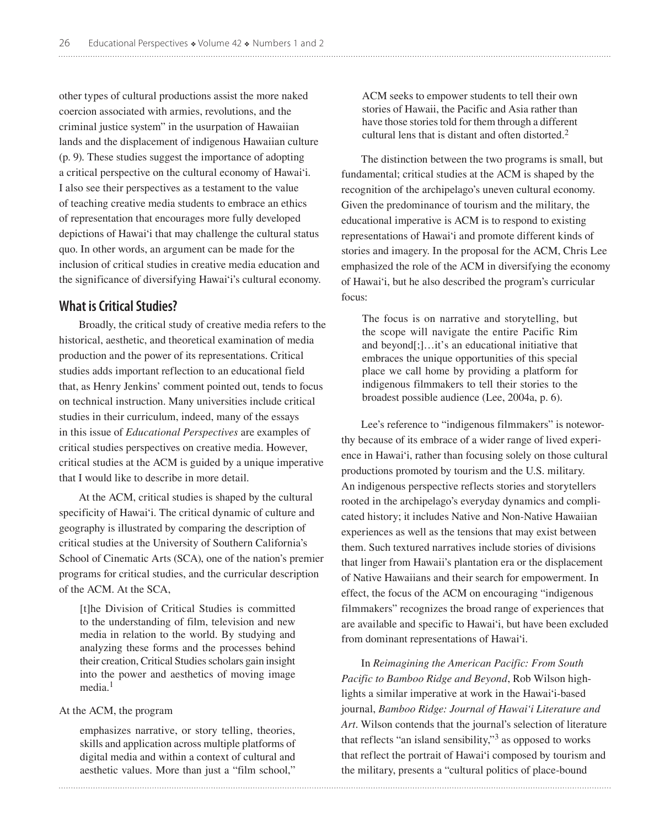other types of cultural productions assist the more naked coercion associated with armies, revolutions, and the criminal justice system" in the usurpation of Hawaiian lands and the displacement of indigenous Hawaiian culture (p. 9). These studies suggest the importance of adopting a critical perspective on the cultural economy of Hawai'i. I also see their perspectives as a testament to the value of teaching creative media students to embrace an ethics of representation that encourages more fully developed depictions of Hawai'i that may challenge the cultural status quo. In other words, an argument can be made for the inclusion of critical studies in creative media education and the significance of diversifying Hawai'i's cultural economy.

## **What is Critical Studies?**

Broadly, the critical study of creative media refers to the historical, aesthetic, and theoretical examination of media production and the power of its representations. Critical studies adds important reflection to an educational field that, as Henry Jenkins' comment pointed out, tends to focus on technical instruction. Many universities include critical studies in their curriculum, indeed, many of the essays in this issue of *Educational Perspectives* are examples of critical studies perspectives on creative media. However, critical studies at the ACM is guided by a unique imperative that I would like to describe in more detail.

At the ACM, critical studies is shaped by the cultural specificity of Hawai'i. The critical dynamic of culture and geography is illustrated by comparing the description of critical studies at the University of Southern California's School of Cinematic Arts (SCA), one of the nation's premier programs for critical studies, and the curricular description of the ACM. At the SCA,

[t]he Division of Critical Studies is committed to the understanding of film, television and new media in relation to the world. By studying and analyzing these forms and the processes behind their creation, Critical Studies scholars gain insight into the power and aesthetics of moving image media.1

#### At the ACM, the program

emphasizes narrative, or story telling, theories, skills and application across multiple platforms of digital media and within a context of cultural and aesthetic values. More than just a "film school,"

ACM seeks to empower students to tell their own stories of Hawaii, the Pacific and Asia rather than have those stories told for them through a different cultural lens that is distant and often distorted.2

The distinction between the two programs is small, but fundamental; critical studies at the ACM is shaped by the recognition of the archipelago's uneven cultural economy. Given the predominance of tourism and the military, the educational imperative is ACM is to respond to existing representations of Hawai'i and promote different kinds of stories and imagery. In the proposal for the ACM, Chris Lee emphasized the role of the ACM in diversifying the economy of Hawai'i, but he also described the program's curricular focus:

The focus is on narrative and storytelling, but the scope will navigate the entire Pacific Rim and beyond[;]…it's an educational initiative that embraces the unique opportunities of this special place we call home by providing a platform for indigenous filmmakers to tell their stories to the broadest possible audience (Lee, 2004a, p. 6).

Lee's reference to "indigenous filmmakers" is noteworthy because of its embrace of a wider range of lived experience in Hawai'i, rather than focusing solely on those cultural productions promoted by tourism and the U.S. military. An indigenous perspective reflects stories and storytellers rooted in the archipelago's everyday dynamics and complicated history; it includes Native and Non-Native Hawaiian experiences as well as the tensions that may exist between them. Such textured narratives include stories of divisions that linger from Hawaii's plantation era or the displacement of Native Hawaiians and their search for empowerment. In effect, the focus of the ACM on encouraging "indigenous filmmakers" recognizes the broad range of experiences that are available and specific to Hawai'i, but have been excluded from dominant representations of Hawai'i.

In *Reimagining the American Pacific: From South Pacific to Bamboo Ridge and Beyond*, Rob Wilson highlights a similar imperative at work in the Hawai'i-based journal, *Bamboo Ridge: Journal of Hawai'i Literature and Art*. Wilson contends that the journal's selection of literature that reflects "an island sensibility,"3 as opposed to works that reflect the portrait of Hawai'i composed by tourism and the military, presents a "cultural politics of place-bound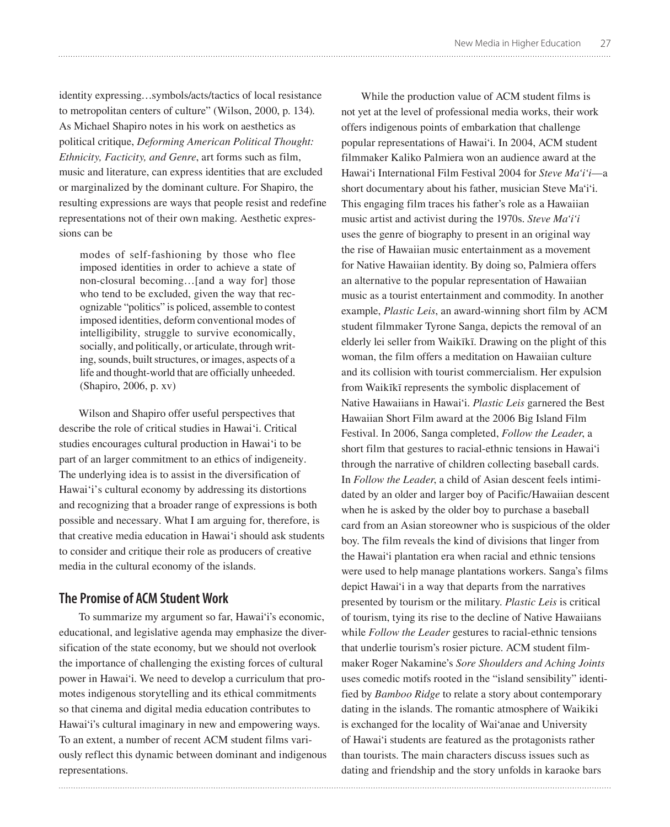identity expressing…symbols/acts/tactics of local resistance to metropolitan centers of culture" (Wilson, 2000, p. 134). As Michael Shapiro notes in his work on aesthetics as political critique, *Deforming American Political Thought: Ethnicity, Facticity, and Genre*, art forms such as film, music and literature, can express identities that are excluded or marginalized by the dominant culture. For Shapiro, the resulting expressions are ways that people resist and redefine representations not of their own making. Aesthetic expressions can be

modes of self-fashioning by those who flee imposed identities in order to achieve a state of non-closural becoming…[and a way for] those who tend to be excluded, given the way that recognizable "politics" is policed, assemble to contest imposed identities, deform conventional modes of intelligibility, struggle to survive economically, socially, and politically, or articulate, through writing, sounds, built structures, or images, aspects of a life and thought-world that are officially unheeded. (Shapiro, 2006, p. xv)

Wilson and Shapiro offer useful perspectives that describe the role of critical studies in Hawai'i. Critical studies encourages cultural production in Hawai'i to be part of an larger commitment to an ethics of indigeneity. The underlying idea is to assist in the diversification of Hawai'i's cultural economy by addressing its distortions and recognizing that a broader range of expressions is both possible and necessary. What I am arguing for, therefore, is that creative media education in Hawai'i should ask students to consider and critique their role as producers of creative media in the cultural economy of the islands.

## **The Promise of ACM Student Work**

To summarize my argument so far, Hawai'i's economic, educational, and legislative agenda may emphasize the diversification of the state economy, but we should not overlook the importance of challenging the existing forces of cultural power in Hawai'i. We need to develop a curriculum that promotes indigenous storytelling and its ethical commitments so that cinema and digital media education contributes to Hawai'i's cultural imaginary in new and empowering ways. To an extent, a number of recent ACM student films variously reflect this dynamic between dominant and indigenous representations.

While the production value of ACM student films is not yet at the level of professional media works, their work offers indigenous points of embarkation that challenge popular representations of Hawai'i. In 2004, ACM student filmmaker Kaliko Palmiera won an audience award at the Hawai'i International Film Festival 2004 for *Steve Ma'i'i*—a short documentary about his father, musician Steve Ma'i'i. This engaging film traces his father's role as a Hawaiian music artist and activist during the 1970s. *Steve Ma'i'i* uses the genre of biography to present in an original way the rise of Hawaiian music entertainment as a movement for Native Hawaiian identity. By doing so, Palmiera offers an alternative to the popular representation of Hawaiian music as a tourist entertainment and commodity. In another example, *Plastic Leis*, an award-winning short film by ACM student filmmaker Tyrone Sanga, depicts the removal of an elderly lei seller from Waikïkï. Drawing on the plight of this woman, the film offers a meditation on Hawaiian culture and its collision with tourist commercialism. Her expulsion from Waikïkï represents the symbolic displacement of Native Hawaiians in Hawai'i. *Plastic Leis* garnered the Best Hawaiian Short Film award at the 2006 Big Island Film Festival. In 2006, Sanga completed, *Follow the Leader*, a short film that gestures to racial-ethnic tensions in Hawai'i through the narrative of children collecting baseball cards. In *Follow the Leader*, a child of Asian descent feels intimidated by an older and larger boy of Pacific/Hawaiian descent when he is asked by the older boy to purchase a baseball card from an Asian storeowner who is suspicious of the older boy. The film reveals the kind of divisions that linger from the Hawai'i plantation era when racial and ethnic tensions were used to help manage plantations workers. Sanga's films depict Hawai'i in a way that departs from the narratives presented by tourism or the military. *Plastic Leis* is critical of tourism, tying its rise to the decline of Native Hawaiians while *Follow the Leader* gestures to racial-ethnic tensions that underlie tourism's rosier picture. ACM student filmmaker Roger Nakamine's *Sore Shoulders and Aching Joints* uses comedic motifs rooted in the "island sensibility" identified by *Bamboo Ridge* to relate a story about contemporary dating in the islands. The romantic atmosphere of Waikiki is exchanged for the locality of Wai'anae and University of Hawai'i students are featured as the protagonists rather than tourists. The main characters discuss issues such as dating and friendship and the story unfolds in karaoke bars